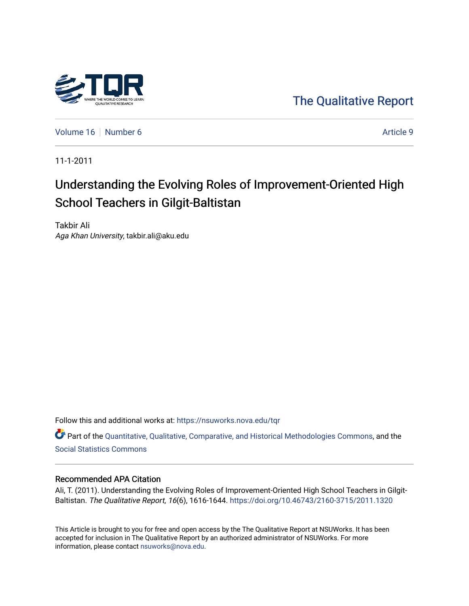

[The Qualitative Report](https://nsuworks.nova.edu/tqr) 

[Volume 16](https://nsuworks.nova.edu/tqr/vol16) [Number 6](https://nsuworks.nova.edu/tqr/vol16/iss6) Article 9

11-1-2011

# Understanding the Evolving Roles of Improvement-Oriented High School Teachers in Gilgit-Baltistan

Takbir Ali Aga Khan University, takbir.ali@aku.edu

Follow this and additional works at: [https://nsuworks.nova.edu/tqr](https://nsuworks.nova.edu/tqr?utm_source=nsuworks.nova.edu%2Ftqr%2Fvol16%2Fiss6%2F9&utm_medium=PDF&utm_campaign=PDFCoverPages) 

Part of the [Quantitative, Qualitative, Comparative, and Historical Methodologies Commons,](http://network.bepress.com/hgg/discipline/423?utm_source=nsuworks.nova.edu%2Ftqr%2Fvol16%2Fiss6%2F9&utm_medium=PDF&utm_campaign=PDFCoverPages) and the [Social Statistics Commons](http://network.bepress.com/hgg/discipline/1275?utm_source=nsuworks.nova.edu%2Ftqr%2Fvol16%2Fiss6%2F9&utm_medium=PDF&utm_campaign=PDFCoverPages) 

# Recommended APA Citation

Ali, T. (2011). Understanding the Evolving Roles of Improvement-Oriented High School Teachers in Gilgit-Baltistan. The Qualitative Report, 16(6), 1616-1644.<https://doi.org/10.46743/2160-3715/2011.1320>

This Article is brought to you for free and open access by the The Qualitative Report at NSUWorks. It has been accepted for inclusion in The Qualitative Report by an authorized administrator of NSUWorks. For more information, please contact [nsuworks@nova.edu.](mailto:nsuworks@nova.edu)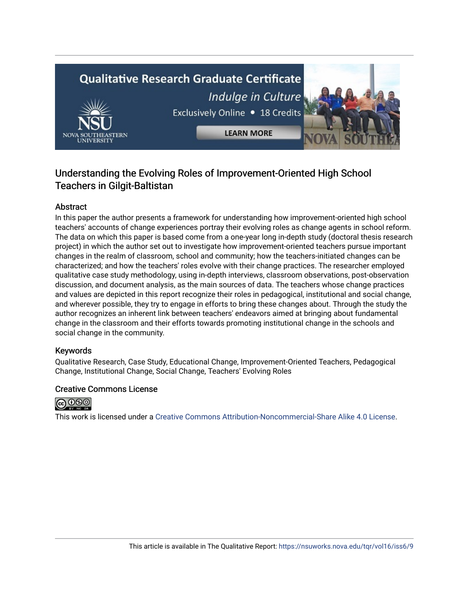# **Qualitative Research Graduate Certificate** Indulge in Culture Exclusively Online . 18 Credits **LEARN MORE**



# Understanding the Evolving Roles of Improvement-Oriented High School Teachers in Gilgit-Baltistan

# Abstract

In this paper the author presents a framework for understanding how improvement-oriented high school teachers' accounts of change experiences portray their evolving roles as change agents in school reform. The data on which this paper is based come from a one-year long in-depth study (doctoral thesis research project) in which the author set out to investigate how improvement-oriented teachers pursue important changes in the realm of classroom, school and community; how the teachers-initiated changes can be characterized; and how the teachers' roles evolve with their change practices. The researcher employed qualitative case study methodology, using in-depth interviews, classroom observations, post-observation discussion, and document analysis, as the main sources of data. The teachers whose change practices and values are depicted in this report recognize their roles in pedagogical, institutional and social change, and wherever possible, they try to engage in efforts to bring these changes about. Through the study the author recognizes an inherent link between teachers' endeavors aimed at bringing about fundamental change in the classroom and their efforts towards promoting institutional change in the schools and social change in the community.

# Keywords

Qualitative Research, Case Study, Educational Change, Improvement-Oriented Teachers, Pedagogical Change, Institutional Change, Social Change, Teachers' Evolving Roles

# Creative Commons License



This work is licensed under a [Creative Commons Attribution-Noncommercial-Share Alike 4.0 License](https://creativecommons.org/licenses/by-nc-sa/4.0/).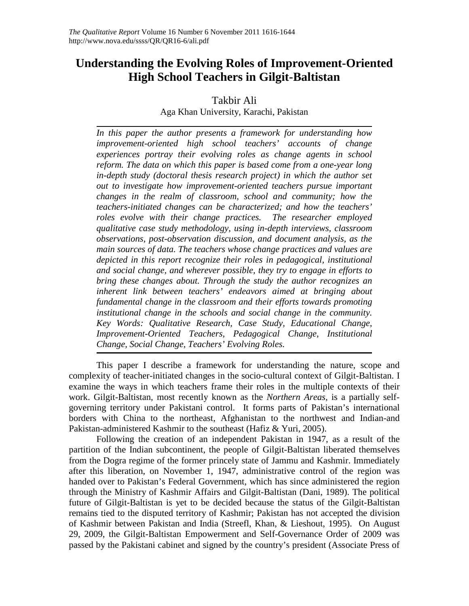# **Understanding the Evolving Roles of Improvement-Oriented High School Teachers in Gilgit-Baltistan**

Takbir Ali Aga Khan University, Karachi, Pakistan

*In this paper the author presents a framework for understanding how improvement-oriented high school teachers' accounts of change experiences portray their evolving roles as change agents in school reform. The data on which this paper is based come from a one-year long in-depth study (doctoral thesis research project) in which the author set out to investigate how improvement-oriented teachers pursue important changes in the realm of classroom, school and community; how the teachers-initiated changes can be characterized; and how the teachers' roles evolve with their change practices. The researcher employed qualitative case study methodology, using in-depth interviews, classroom observations, post-observation discussion, and document analysis, as the main sources of data. The teachers whose change practices and values are depicted in this report recognize their roles in pedagogical, institutional and social change, and wherever possible, they try to engage in efforts to bring these changes about. Through the study the author recognizes an inherent link between teachers' endeavors aimed at bringing about fundamental change in the classroom and their efforts towards promoting institutional change in the schools and social change in the community. Key Words: Qualitative Research, Case Study, Educational Change, Improvement-Oriented Teachers, Pedagogical Change, Institutional Change, Social Change, Teachers' Evolving Roles.* 

This paper I describe a framework for understanding the nature, scope and complexity of teacher-initiated changes in the socio-cultural context of Gilgit-Baltistan. I examine the ways in which teachers frame their roles in the multiple contexts of their work. Gilgit-Baltistan, most recently known as the *Northern Areas,* is a partially selfgoverning territory under Pakistani control. It forms parts of Pakistan's international borders with China to the northeast, Afghanistan to the northwest and Indian-and Pakistan-administered Kashmir to the southeast (Hafiz & Yuri, 2005).

Following the creation of an independent Pakistan in 1947, as a result of the partition of the Indian subcontinent, the people of Gilgit-Baltistan liberated themselves from the Dogra regime of the former princely state of Jammu and Kashmir. Immediately after this liberation, on November 1, 1947, administrative control of the region was handed over to Pakistan's Federal Government, which has since administered the region through the Ministry of Kashmir Affairs and Gilgit-Baltistan (Dani, 1989). The political future of Gilgit-Baltistan is yet to be decided because the status of the Gilgit-Baltistan remains tied to the disputed territory of Kashmir; Pakistan has not accepted the division of Kashmir between Pakistan and India (Streefl, Khan, & Lieshout, 1995). On August 29, 2009, the Gilgit-Baltistan Empowerment and Self-Governance Order of 2009 was passed by the Pakistani cabinet and signed by the country's president (Associate Press of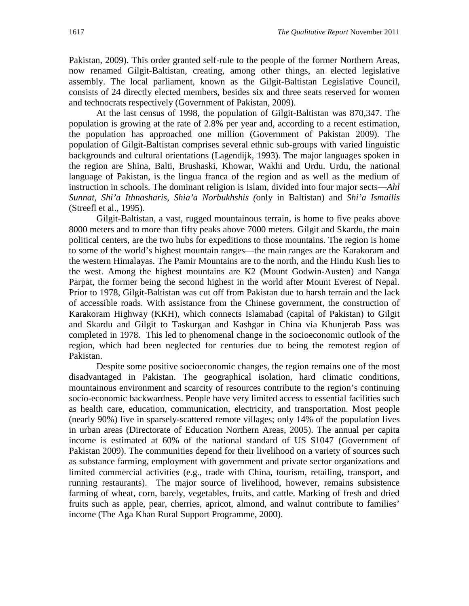Pakistan, 2009). This order granted self-rule to the people of the former Northern Areas, now renamed Gilgit-Baltistan, creating, among other things, an elected legislative assembly. The local parliament, known as the Gilgit-Baltistan Legislative Council, consists of 24 directly elected members, besides six and three seats reserved for women and technocrats respectively (Government of Pakistan, 2009).

At the last census of 1998, the population of Gilgit-Baltistan was 870,347. The population is growing at the rate of 2.8% per year and, according to a recent estimation, the population has approached one million (Government of Pakistan 2009). The population of Gilgit-Baltistan comprises several ethnic sub-groups with varied linguistic backgrounds and cultural orientations (Lagendijk, 1993). The major languages spoken in the region are Shina, Balti, Brushaski, Khowar, Wakhi and Urdu. Urdu, the national language of Pakistan, is the lingua franca of the region and as well as the medium of instruction in schools. The dominant religion is Islam, divided into four major sects—*Ahl Sunnat, Shi'a Ithnasharis, Shia'a Norbukhshis (*only in Baltistan) and *Shi'a Ismailis*  (Streefl et al., 1995).

Gilgit-Baltistan, a vast, rugged mountainous terrain, is home to five peaks above 8000 meters and to more than fifty peaks above 7000 meters. Gilgit and Skardu, the main political centers, are the two hubs for expeditions to those mountains. The region is home to some of the world's highest mountain ranges—the main ranges are the Karakoram and the western Himalayas. The Pamir Mountains are to the north, and the Hindu Kush lies to the west. Among the highest mountains are K2 (Mount Godwin-Austen) and Nanga Parpat, the former being the second highest in the world after Mount Everest of Nepal. Prior to 1978, Gilgit-Baltistan was cut off from Pakistan due to harsh terrain and the lack of accessible roads. With assistance from the Chinese government, the construction of Karakoram Highway (KKH), which connects Islamabad (capital of Pakistan) to Gilgit and Skardu and Gilgit to Taskurgan and Kashgar in China via Khunjerab Pass was completed in 1978. This led to phenomenal change in the socioeconomic outlook of the region, which had been neglected for centuries due to being the remotest region of Pakistan.

Despite some positive socioeconomic changes, the region remains one of the most disadvantaged in Pakistan. The geographical isolation, hard climatic conditions, mountainous environment and scarcity of resources contribute to the region's continuing socio-economic backwardness. People have very limited access to essential facilities such as health care, education, communication, electricity, and transportation. Most people (nearly 90%) live in sparsely-scattered remote villages; only 14% of the population lives in urban areas (Directorate of Education Northern Areas, 2005). The annual per capita income is estimated at 60% of the national standard of US \$1047 (Government of Pakistan 2009). The communities depend for their livelihood on a variety of sources such as substance farming, employment with government and private sector organizations and limited commercial activities (e.g., trade with China, tourism, retailing, transport, and running restaurants). The major source of livelihood, however, remains subsistence farming of wheat, corn, barely, vegetables, fruits, and cattle. Marking of fresh and dried fruits such as apple, pear, cherries, apricot, almond, and walnut contribute to families' income (The Aga Khan Rural Support Programme, 2000).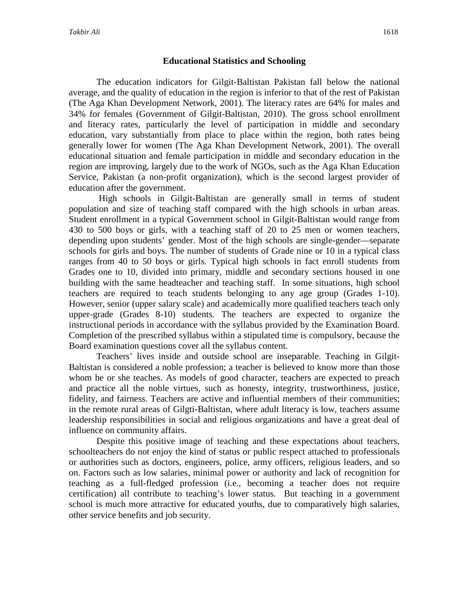# **Educational Statistics and Schooling**

The education indicators for Gilgit-Baltistan Pakistan fall below the national average, and the quality of education in the region is inferior to that of the rest of Pakistan (The Aga Khan Development Network, 2001). The literacy rates are 64% for males and 34% for females (Government of Gilgit-Baltistan, 2010). The gross school enrollment and literacy rates, particularly the level of participation in middle and secondary education, vary substantially from place to place within the region, both rates being generally lower for women (The Aga Khan Development Network, 2001). The overall educational situation and female participation in middle and secondary education in the region are improving, largely due to the work of NGOs, such as the Aga Khan Education Service, Pakistan (a non-profit organization), which is the second largest provider of education after the government.

High schools in Gilgit-Baltistan are generally small in terms of student population and size of teaching staff compared with the high schools in urban areas. Student enrollment in a typical Government school in Gilgit-Baltistan would range from 430 to 500 boys or girls, with a teaching staff of 20 to 25 men or women teachers, depending upon students' gender. Most of the high schools are single-gender—separate schools for girls and boys. The number of students of Grade nine or 10 in a typical class ranges from 40 to 50 boys or girls. Typical high schools in fact enroll students from Grades one to 10, divided into primary, middle and secondary sections housed in one building with the same headteacher and teaching staff. In some situations, high school teachers are required to teach students belonging to any age group (Grades 1-10). However, senior (upper salary scale) and academically more qualified teachers teach only upper-grade (Grades 8-10) students. The teachers are expected to organize the instructional periods in accordance with the syllabus provided by the Examination Board. Completion of the prescribed syllabus within a stipulated time is compulsory, because the Board examination questions cover all the syllabus content.

Teachers' lives inside and outside school are inseparable. Teaching in Gilgit-Baltistan is considered a noble profession; a teacher is believed to know more than those whom he or she teaches. As models of good character, teachers are expected to preach and practice all the noble virtues, such as honesty, integrity, trustworthiness, justice, fidelity, and fairness. Teachers are active and influential members of their communities; in the remote rural areas of Gilgti-Baltistan, where adult literacy is low, teachers assume leadership responsibilities in social and religious organizations and have a great deal of influence on community affairs.

Despite this positive image of teaching and these expectations about teachers, schoolteachers do not enjoy the kind of status or public respect attached to professionals or authorities such as doctors, engineers, police, army officers, religious leaders, and so on. Factors such as low salaries, minimal power or authority and lack of recognition for teaching as a full-fledged profession (i.e., becoming a teacher does not require certification) all contribute to teaching's lower status. But teaching in a government school is much more attractive for educated youths, due to comparatively high salaries, other service benefits and job security.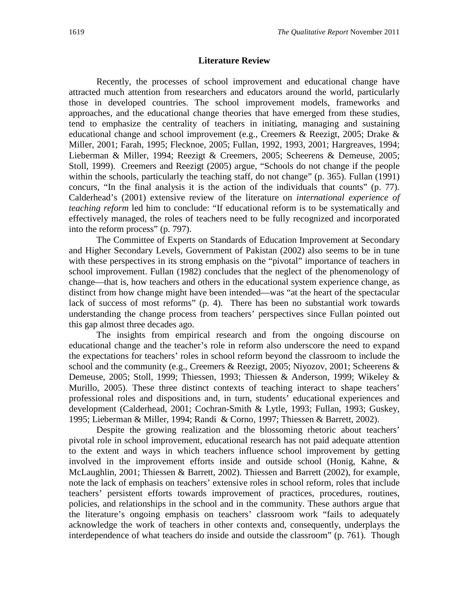#### **Literature Review**

Recently, the processes of school improvement and educational change have attracted much attention from researchers and educators around the world, particularly those in developed countries. The school improvement models, frameworks and approaches, and the educational change theories that have emerged from these studies, tend to emphasize the centrality of teachers in initiating, managing and sustaining educational change and school improvement (e.g., Creemers & Reezigt, 2005; Drake & Miller, 2001; Farah, 1995; Flecknoe, 2005; Fullan, 1992, 1993, 2001; Hargreaves, 1994; Lieberman & Miller, 1994; Reezigt & Creemers, 2005; Scheerens & Demeuse, 2005; Stoll, 1999). Creemers and Reezigt (2005) argue, "Schools do not change if the people within the schools, particularly the teaching staff, do not change" (p. 365). Fullan (1991) concurs, "In the final analysis it is the action of the individuals that counts" (p. 77). Calderhead's (2001) extensive review of the literature on *international experience of teaching reform* led him to conclude: "If educational reform is to be systematically and effectively managed, the roles of teachers need to be fully recognized and incorporated into the reform process" (p. 797).

The Committee of Experts on Standards of Education Improvement at Secondary and Higher Secondary Levels, Government of Pakistan (2002) also seems to be in tune with these perspectives in its strong emphasis on the "pivotal" importance of teachers in school improvement. Fullan (1982) concludes that the neglect of the phenomenology of change—that is, how teachers and others in the educational system experience change, as distinct from how change might have been intended—was "at the heart of the spectacular lack of success of most reforms" (p. 4). There has been no substantial work towards understanding the change process from teachers' perspectives since Fullan pointed out this gap almost three decades ago.

The insights from empirical research and from the ongoing discourse on educational change and the teacher's role in reform also underscore the need to expand the expectations for teachers' roles in school reform beyond the classroom to include the school and the community (e.g., Creemers & Reezigt, 2005; Niyozov, 2001; Scheerens & Demeuse, 2005; Stoll, 1999; Thiessen, 1993; Thiessen & Anderson, 1999; Wikeley & Murillo, 2005). These three distinct contexts of teaching interact to shape teachers' professional roles and dispositions and, in turn, students' educational experiences and development (Calderhead, 2001; Cochran-Smith & Lytle, 1993; Fullan, 1993; Guskey, 1995; Lieberman & Miller, 1994; Randi & Corno, 1997; Thiessen & Barrett, 2002).

Despite the growing realization and the blossoming rhetoric about teachers' pivotal role in school improvement, educational research has not paid adequate attention to the extent and ways in which teachers influence school improvement by getting involved in the improvement efforts inside and outside school (Honig, Kahne, & McLaughlin, 2001; Thiessen & Barrett, 2002). Thiessen and Barrett (2002), for example, note the lack of emphasis on teachers' extensive roles in school reform, roles that include teachers' persistent efforts towards improvement of practices, procedures, routines, policies, and relationships in the school and in the community. These authors argue that the literature's ongoing emphasis on teachers' classroom work "fails to adequately acknowledge the work of teachers in other contexts and, consequently, underplays the interdependence of what teachers do inside and outside the classroom" (p. 761). Though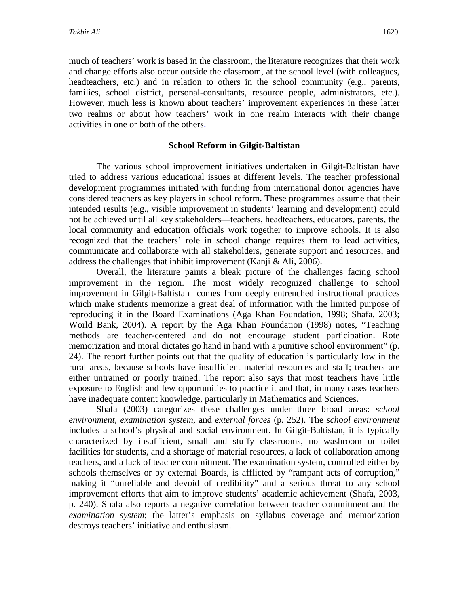much of teachers' work is based in the classroom, the literature recognizes that their work and change efforts also occur outside the classroom, at the school level (with colleagues, headteachers, etc.) and in relation to others in the school community (e.g., parents, families, school district, personal-consultants, resource people, administrators, etc.). However, much less is known about teachers' improvement experiences in these latter two realms or about how teachers' work in one realm interacts with their change activities in one or both of the others.

# **School Reform in Gilgit-Baltistan**

The various school improvement initiatives undertaken in Gilgit-Baltistan have tried to address various educational issues at different levels. The teacher professional development programmes initiated with funding from international donor agencies have considered teachers as key players in school reform. These programmes assume that their intended results (e.g., visible improvement in students' learning and development) could not be achieved until all key stakeholders—teachers, headteachers, educators, parents, the local community and education officials work together to improve schools. It is also recognized that the teachers' role in school change requires them to lead activities, communicate and collaborate with all stakeholders, generate support and resources, and address the challenges that inhibit improvement (Kanji & Ali, 2006).

Overall, the literature paints a bleak picture of the challenges facing school improvement in the region. The most widely recognized challenge to school improvement in Gilgit-Baltistan comes from deeply entrenched instructional practices which make students memorize a great deal of information with the limited purpose of reproducing it in the Board Examinations (Aga Khan Foundation, 1998; Shafa, 2003; World Bank, 2004). A report by the Aga Khan Foundation (1998) notes, "Teaching methods are teacher-centered and do not encourage student participation. Rote memorization and moral dictates go hand in hand with a punitive school environment" (p. 24). The report further points out that the quality of education is particularly low in the rural areas, because schools have insufficient material resources and staff; teachers are either untrained or poorly trained. The report also says that most teachers have little exposure to English and few opportunities to practice it and that, in many cases teachers have inadequate content knowledge, particularly in Mathematics and Sciences.

Shafa (2003) categorizes these challenges under three broad areas: *school environment*, *examination system*, and *external forces* (p. 252). The *school environment* includes a school's physical and social environment. In Gilgit-Baltistan, it is typically characterized by insufficient, small and stuffy classrooms, no washroom or toilet facilities for students, and a shortage of material resources, a lack of collaboration among teachers, and a lack of teacher commitment. The examination system, controlled either by schools themselves or by external Boards, is afflicted by "rampant acts of corruption," making it "unreliable and devoid of credibility" and a serious threat to any school improvement efforts that aim to improve students' academic achievement (Shafa, 2003, p. 240). Shafa also reports a negative correlation between teacher commitment and the *examination system*; the latter's emphasis on syllabus coverage and memorization destroys teachers' initiative and enthusiasm.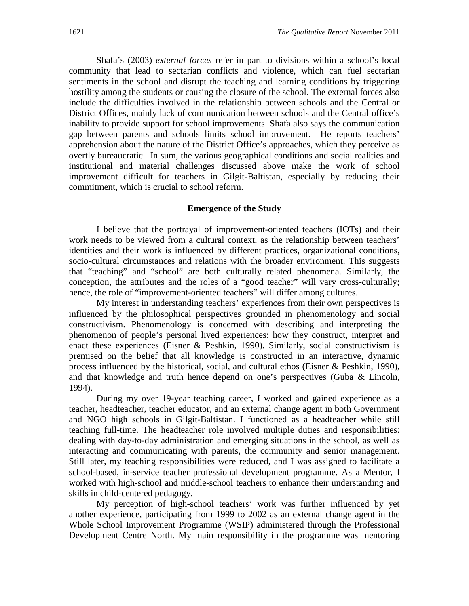Shafa's (2003) *external forces* refer in part to divisions within a school's local community that lead to sectarian conflicts and violence, which can fuel sectarian sentiments in the school and disrupt the teaching and learning conditions by triggering hostility among the students or causing the closure of the school. The external forces also include the difficulties involved in the relationship between schools and the Central or District Offices, mainly lack of communication between schools and the Central office's inability to provide support for school improvements. Shafa also says the communication gap between parents and schools limits school improvement. He reports teachers' apprehension about the nature of the District Office's approaches, which they perceive as overtly bureaucratic. In sum, the various geographical conditions and social realities and institutional and material challenges discussed above make the work of school improvement difficult for teachers in Gilgit-Baltistan, especially by reducing their commitment, which is crucial to school reform.

# **Emergence of the Study**

I believe that the portrayal of improvement-oriented teachers (IOTs) and their work needs to be viewed from a cultural context, as the relationship between teachers' identities and their work is influenced by different practices, organizational conditions, socio-cultural circumstances and relations with the broader environment. This suggests that "teaching" and "school" are both culturally related phenomena. Similarly, the conception, the attributes and the roles of a "good teacher" will vary cross-culturally; hence, the role of "improvement-oriented teachers" will differ among cultures.

My interest in understanding teachers' experiences from their own perspectives is influenced by the philosophical perspectives grounded in phenomenology and social constructivism. Phenomenology is concerned with describing and interpreting the phenomenon of people's personal lived experiences: how they construct, interpret and enact these experiences (Eisner & Peshkin, 1990). Similarly, social constructivism is premised on the belief that all knowledge is constructed in an interactive, dynamic process influenced by the historical, social, and cultural ethos (Eisner & Peshkin, 1990), and that knowledge and truth hence depend on one's perspectives (Guba & Lincoln, 1994).

During my over 19-year teaching career, I worked and gained experience as a teacher, headteacher, teacher educator, and an external change agent in both Government and NGO high schools in Gilgit-Baltistan. I functioned as a headteacher while still teaching full-time. The headteacher role involved multiple duties and responsibilities: dealing with day-to-day administration and emerging situations in the school, as well as interacting and communicating with parents, the community and senior management. Still later, my teaching responsibilities were reduced, and I was assigned to facilitate a school-based, in-service teacher professional development programme. As a Mentor, I worked with high-school and middle-school teachers to enhance their understanding and skills in child-centered pedagogy.

My perception of high-school teachers' work was further influenced by yet another experience, participating from 1999 to 2002 as an external change agent in the Whole School Improvement Programme (WSIP) administered through the Professional Development Centre North. My main responsibility in the programme was mentoring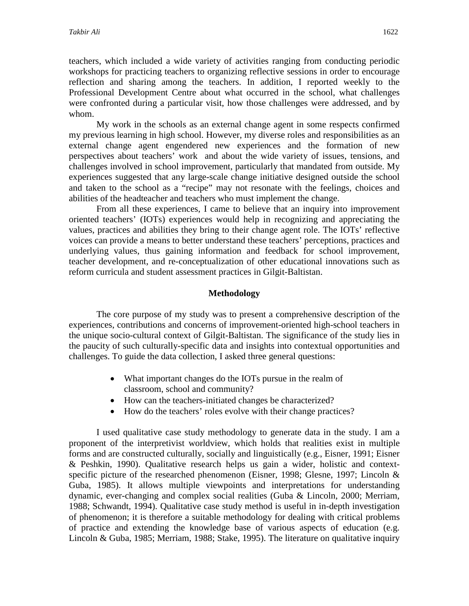teachers, which included a wide variety of activities ranging from conducting periodic workshops for practicing teachers to organizing reflective sessions in order to encourage reflection and sharing among the teachers. In addition, I reported weekly to the Professional Development Centre about what occurred in the school, what challenges were confronted during a particular visit, how those challenges were addressed, and by whom.

My work in the schools as an external change agent in some respects confirmed my previous learning in high school. However, my diverse roles and responsibilities as an external change agent engendered new experiences and the formation of new perspectives about teachers' work and about the wide variety of issues, tensions, and challenges involved in school improvement, particularly that mandated from outside. My experiences suggested that any large-scale change initiative designed outside the school and taken to the school as a "recipe" may not resonate with the feelings, choices and abilities of the headteacher and teachers who must implement the change.

From all these experiences, I came to believe that an inquiry into improvement oriented teachers' (IOTs) experiences would help in recognizing and appreciating the values, practices and abilities they bring to their change agent role. The IOTs' reflective voices can provide a means to better understand these teachers' perceptions, practices and underlying values, thus gaining information and feedback for school improvement, teacher development, and re-conceptualization of other educational innovations such as reform curricula and student assessment practices in Gilgit-Baltistan.

# **Methodology**

The core purpose of my study was to present a comprehensive description of the experiences, contributions and concerns of improvement-oriented high-school teachers in the unique socio-cultural context of Gilgit-Baltistan. The significance of the study lies in the paucity of such culturally-specific data and insights into contextual opportunities and challenges. To guide the data collection, I asked three general questions:

- What important changes do the IOTs pursue in the realm of classroom, school and community?
- How can the teachers-initiated changes be characterized?
- How do the teachers' roles evolve with their change practices?

I used qualitative case study methodology to generate data in the study. I am a proponent of the interpretivist worldview, which holds that realities exist in multiple forms and are constructed culturally, socially and linguistically (e.g., Eisner, 1991; Eisner & Peshkin, 1990). Qualitative research helps us gain a wider, holistic and contextspecific picture of the researched phenomenon (Eisner, 1998; Glesne, 1997; Lincoln & Guba, 1985). It allows multiple viewpoints and interpretations for understanding dynamic, ever-changing and complex social realities (Guba & Lincoln, 2000; Merriam, 1988; Schwandt, 1994). Qualitative case study method is useful in in-depth investigation of phenomenon; it is therefore a suitable methodology for dealing with critical problems of practice and extending the knowledge base of various aspects of education (e.g. Lincoln & Guba, 1985; Merriam, 1988; Stake, 1995). The literature on qualitative inquiry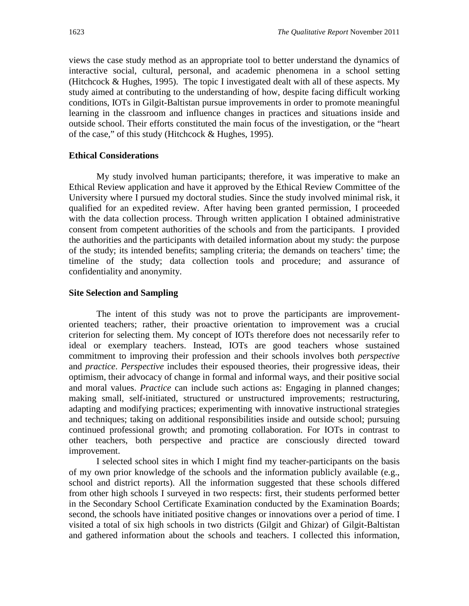views the case study method as an appropriate tool to better understand the dynamics of interactive social, cultural, personal, and academic phenomena in a school setting (Hitchcock & Hughes, 1995). The topic I investigated dealt with all of these aspects. My study aimed at contributing to the understanding of how, despite facing difficult working conditions, IOTs in Gilgit-Baltistan pursue improvements in order to promote meaningful learning in the classroom and influence changes in practices and situations inside and outside school. Their efforts constituted the main focus of the investigation, or the "heart of the case," of this study (Hitchcock & Hughes, 1995).

# **Ethical Considerations**

My study involved human participants; therefore, it was imperative to make an Ethical Review application and have it approved by the Ethical Review Committee of the University where I pursued my doctoral studies. Since the study involved minimal risk, it qualified for an expedited review. After having been granted permission, I proceeded with the data collection process. Through written application I obtained administrative consent from competent authorities of the schools and from the participants. I provided the authorities and the participants with detailed information about my study: the purpose of the study; its intended benefits; sampling criteria; the demands on teachers' time; the timeline of the study; data collection tools and procedure; and assurance of confidentiality and anonymity.

# **Site Selection and Sampling**

The intent of this study was not to prove the participants are improvementoriented teachers; rather, their proactive orientation to improvement was a crucial criterion for selecting them. My concept of IOTs therefore does not necessarily refer to ideal or exemplary teachers. Instead, IOTs are good teachers whose sustained commitment to improving their profession and their schools involves both *perspective* and *practice*. *Perspective* includes their espoused theories, their progressive ideas, their optimism, their advocacy of change in formal and informal ways, and their positive social and moral values. *Practice* can include such actions as: Engaging in planned changes; making small, self-initiated, structured or unstructured improvements; restructuring, adapting and modifying practices; experimenting with innovative instructional strategies and techniques; taking on additional responsibilities inside and outside school; pursuing continued professional growth; and promoting collaboration. For IOTs in contrast to other teachers, both perspective and practice are consciously directed toward improvement.

I selected school sites in which I might find my teacher-participants on the basis of my own prior knowledge of the schools and the information publicly available (e.g., school and district reports). All the information suggested that these schools differed from other high schools I surveyed in two respects: first, their students performed better in the Secondary School Certificate Examination conducted by the Examination Boards; second, the schools have initiated positive changes or innovations over a period of time. I visited a total of six high schools in two districts (Gilgit and Ghizar) of Gilgit-Baltistan and gathered information about the schools and teachers. I collected this information,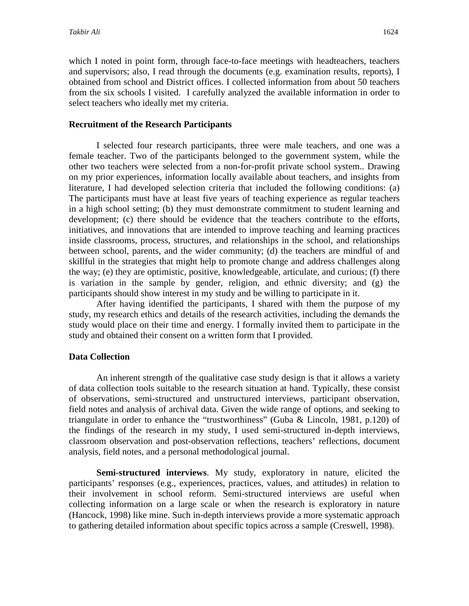which I noted in point form, through face-to-face meetings with headteachers, teachers and supervisors; also, I read through the documents (e.g. examination results, reports), I obtained from school and District offices. I collected information from about 50 teachers from the six schools I visited. I carefully analyzed the available information in order to select teachers who ideally met my criteria.

# **Recruitment of the Research Participants**

I selected four research participants, three were male teachers, and one was a female teacher. Two of the participants belonged to the government system, while the other two teachers were selected from a non-for-profit private school system.. Drawing on my prior experiences, information locally available about teachers, and insights from literature, I had developed selection criteria that included the following conditions: (a) The participants must have at least five years of teaching experience as regular teachers in a high school setting; (b) they must demonstrate commitment to student learning and development; (c) there should be evidence that the teachers contribute to the efforts, initiatives, and innovations that are intended to improve teaching and learning practices inside classrooms, process, structures, and relationships in the school, and relationships between school, parents, and the wider community; (d) the teachers are mindful of and skillful in the strategies that might help to promote change and address challenges along the way; (e) they are optimistic, positive, knowledgeable, articulate, and curious; (f) there is variation in the sample by gender, religion, and ethnic diversity; and (g) the participants should show interest in my study and be willing to participate in it.

After having identified the participants, I shared with them the purpose of my study, my research ethics and details of the research activities, including the demands the study would place on their time and energy. I formally invited them to participate in the study and obtained their consent on a written form that I provided.

#### **Data Collection**

An inherent strength of the qualitative case study design is that it allows a variety of data collection tools suitable to the research situation at hand. Typically, these consist of observations, semi-structured and unstructured interviews, participant observation, field notes and analysis of archival data. Given the wide range of options, and seeking to triangulate in order to enhance the "trustworthiness" (Guba & Lincoln, 1981, p.120) of the findings of the research in my study, I used semi-structured in-depth interviews, classroom observation and post-observation reflections, teachers' reflections, document analysis, field notes, and a personal methodological journal.

**Semi-structured interviews**. My study, exploratory in nature, elicited the participants' responses (e.g., experiences, practices, values, and attitudes) in relation to their involvement in school reform. Semi-structured interviews are useful when collecting information on a large scale or when the research is exploratory in nature (Hancock, 1998) like mine. Such in-depth interviews provide a more systematic approach to gathering detailed information about specific topics across a sample (Creswell, 1998).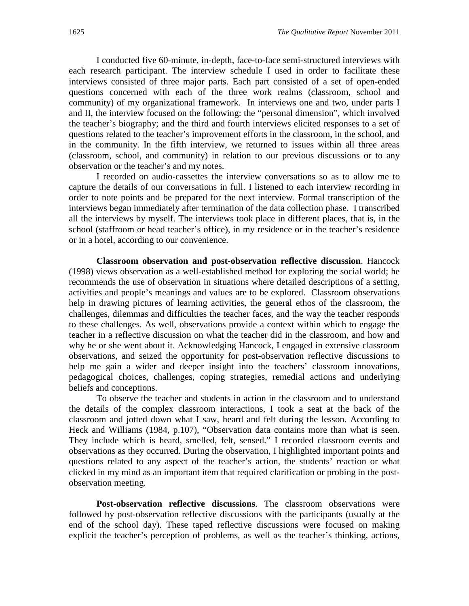I conducted five 60-minute, in-depth, face-to-face semi-structured interviews with each research participant. The interview schedule I used in order to facilitate these interviews consisted of three major parts. Each part consisted of a set of open-ended questions concerned with each of the three work realms (classroom, school and community) of my organizational framework. In interviews one and two, under parts I and II, the interview focused on the following: the "personal dimension", which involved the teacher's biography; and the third and fourth interviews elicited responses to a set of questions related to the teacher's improvement efforts in the classroom, in the school, and in the community. In the fifth interview, we returned to issues within all three areas (classroom, school, and community) in relation to our previous discussions or to any observation or the teacher's and my notes.

I recorded on audio-cassettes the interview conversations so as to allow me to capture the details of our conversations in full. I listened to each interview recording in order to note points and be prepared for the next interview. Formal transcription of the interviews began immediately after termination of the data collection phase. I transcribed all the interviews by myself. The interviews took place in different places, that is, in the school (staffroom or head teacher's office), in my residence or in the teacher's residence or in a hotel, according to our convenience.

**Classroom observation and post-observation reflective discussion**. Hancock (1998) views observation as a well-established method for exploring the social world; he recommends the use of observation in situations where detailed descriptions of a setting, activities and people's meanings and values are to be explored. Classroom observations help in drawing pictures of learning activities, the general ethos of the classroom, the challenges, dilemmas and difficulties the teacher faces, and the way the teacher responds to these challenges. As well, observations provide a context within which to engage the teacher in a reflective discussion on what the teacher did in the classroom, and how and why he or she went about it. Acknowledging Hancock, I engaged in extensive classroom observations, and seized the opportunity for post-observation reflective discussions to help me gain a wider and deeper insight into the teachers' classroom innovations, pedagogical choices, challenges, coping strategies, remedial actions and underlying beliefs and conceptions.

To observe the teacher and students in action in the classroom and to understand the details of the complex classroom interactions, I took a seat at the back of the classroom and jotted down what I saw, heard and felt during the lesson. According to Heck and Williams (1984, p.107), "Observation data contains more than what is seen. They include which is heard, smelled, felt, sensed." I recorded classroom events and observations as they occurred. During the observation, I highlighted important points and questions related to any aspect of the teacher's action, the students' reaction or what clicked in my mind as an important item that required clarification or probing in the postobservation meeting.

**Post-observation reflective discussions**. The classroom observations were followed by post-observation reflective discussions with the participants (usually at the end of the school day). These taped reflective discussions were focused on making explicit the teacher's perception of problems, as well as the teacher's thinking, actions,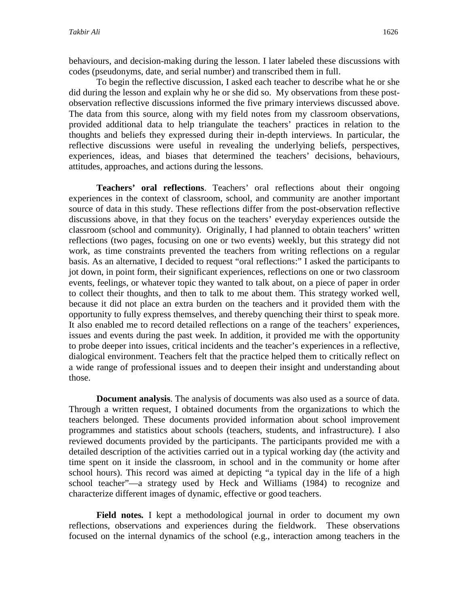behaviours, and decision-making during the lesson. I later labeled these discussions with codes (pseudonyms, date, and serial number) and transcribed them in full.

To begin the reflective discussion, I asked each teacher to describe what he or she did during the lesson and explain why he or she did so. My observations from these postobservation reflective discussions informed the five primary interviews discussed above. The data from this source, along with my field notes from my classroom observations, provided additional data to help triangulate the teachers' practices in relation to the thoughts and beliefs they expressed during their in-depth interviews. In particular, the reflective discussions were useful in revealing the underlying beliefs, perspectives, experiences, ideas, and biases that determined the teachers' decisions, behaviours, attitudes, approaches, and actions during the lessons.

**Teachers' oral reflections**. Teachers' oral reflections about their ongoing experiences in the context of classroom, school, and community are another important source of data in this study. These reflections differ from the post-observation reflective discussions above, in that they focus on the teachers' everyday experiences outside the classroom (school and community). Originally, I had planned to obtain teachers' written reflections (two pages, focusing on one or two events) weekly, but this strategy did not work, as time constraints prevented the teachers from writing reflections on a regular basis. As an alternative, I decided to request "oral reflections:" I asked the participants to jot down, in point form, their significant experiences, reflections on one or two classroom events, feelings, or whatever topic they wanted to talk about, on a piece of paper in order to collect their thoughts, and then to talk to me about them. This strategy worked well, because it did not place an extra burden on the teachers and it provided them with the opportunity to fully express themselves, and thereby quenching their thirst to speak more. It also enabled me to record detailed reflections on a range of the teachers' experiences, issues and events during the past week. In addition, it provided me with the opportunity to probe deeper into issues, critical incidents and the teacher's experiences in a reflective, dialogical environment. Teachers felt that the practice helped them to critically reflect on a wide range of professional issues and to deepen their insight and understanding about those.

**Document analysis**. The analysis of documents was also used as a source of data. Through a written request, I obtained documents from the organizations to which the teachers belonged. These documents provided information about school improvement programmes and statistics about schools (teachers, students, and infrastructure). I also reviewed documents provided by the participants. The participants provided me with a detailed description of the activities carried out in a typical working day (the activity and time spent on it inside the classroom, in school and in the community or home after school hours). This record was aimed at depicting "a typical day in the life of a high school teacher"—a strategy used by Heck and Williams (1984) to recognize and characterize different images of dynamic, effective or good teachers.

**Field notes***.* I kept a methodological journal in order to document my own reflections, observations and experiences during the fieldwork. These observations focused on the internal dynamics of the school (e.g., interaction among teachers in the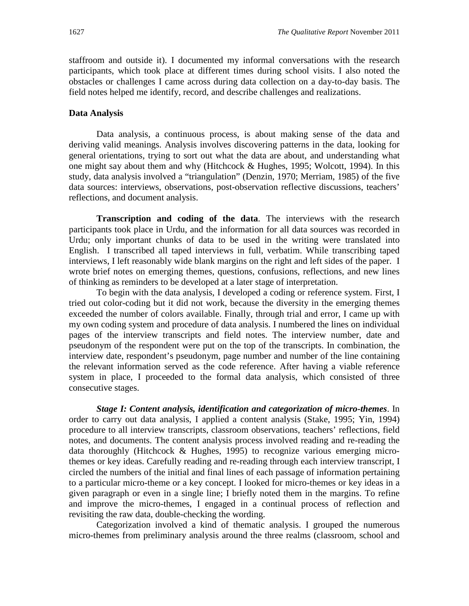staffroom and outside it). I documented my informal conversations with the research participants, which took place at different times during school visits. I also noted the obstacles or challenges I came across during data collection on a day-to-day basis. The field notes helped me identify, record, and describe challenges and realizations.

# **Data Analysis**

Data analysis, a continuous process, is about making sense of the data and deriving valid meanings. Analysis involves discovering patterns in the data, looking for general orientations, trying to sort out what the data are about, and understanding what one might say about them and why (Hitchcock & Hughes, 1995; Wolcott, 1994). In this study, data analysis involved a "triangulation" (Denzin, 1970; Merriam, 1985) of the five data sources: interviews, observations, post-observation reflective discussions, teachers' reflections, and document analysis.

**Transcription and coding of the data**. The interviews with the research participants took place in Urdu, and the information for all data sources was recorded in Urdu; only important chunks of data to be used in the writing were translated into English. I transcribed all taped interviews in full, verbatim. While transcribing taped interviews, I left reasonably wide blank margins on the right and left sides of the paper. I wrote brief notes on emerging themes, questions, confusions, reflections, and new lines of thinking as reminders to be developed at a later stage of interpretation.

To begin with the data analysis, I developed a coding or reference system. First, I tried out color-coding but it did not work, because the diversity in the emerging themes exceeded the number of colors available. Finally, through trial and error, I came up with my own coding system and procedure of data analysis. I numbered the lines on individual pages of the interview transcripts and field notes. The interview number, date and pseudonym of the respondent were put on the top of the transcripts. In combination, the interview date, respondent's pseudonym, page number and number of the line containing the relevant information served as the code reference. After having a viable reference system in place, I proceeded to the formal data analysis, which consisted of three consecutive stages.

*Stage I: Content analysis, identification and categorization of micro-themes*. In order to carry out data analysis, I applied a content analysis (Stake, 1995; Yin, 1994) procedure to all interview transcripts, classroom observations, teachers' reflections, field notes, and documents. The content analysis process involved reading and re-reading the data thoroughly (Hitchcock & Hughes, 1995) to recognize various emerging microthemes or key ideas. Carefully reading and re-reading through each interview transcript, I circled the numbers of the initial and final lines of each passage of information pertaining to a particular micro-theme or a key concept. I looked for micro-themes or key ideas in a given paragraph or even in a single line; I briefly noted them in the margins. To refine and improve the micro-themes, I engaged in a continual process of reflection and revisiting the raw data, double-checking the wording.

Categorization involved a kind of thematic analysis. I grouped the numerous micro-themes from preliminary analysis around the three realms (classroom, school and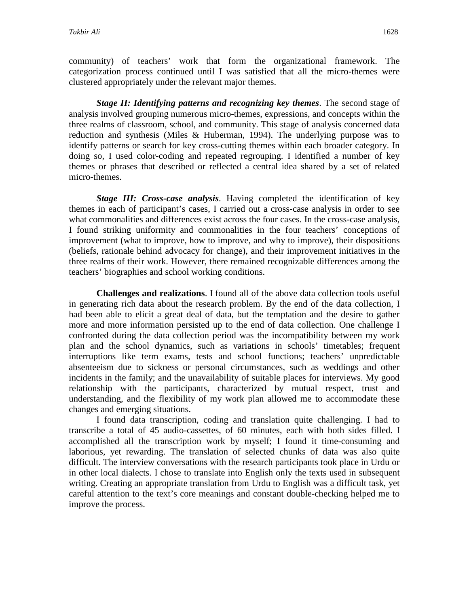community) of teachers' work that form the organizational framework. The categorization process continued until I was satisfied that all the micro-themes were clustered appropriately under the relevant major themes.

*Stage II: Identifying patterns and recognizing key themes*. The second stage of analysis involved grouping numerous micro-themes, expressions, and concepts within the three realms of classroom, school, and community. This stage of analysis concerned data reduction and synthesis (Miles & Huberman, 1994). The underlying purpose was to identify patterns or search for key cross-cutting themes within each broader category. In doing so, I used color-coding and repeated regrouping. I identified a number of key themes or phrases that described or reflected a central idea shared by a set of related micro-themes.

*Stage III: Cross-case analysis*. Having completed the identification of key themes in each of participant's cases, I carried out a cross-case analysis in order to see what commonalities and differences exist across the four cases. In the cross-case analysis, I found striking uniformity and commonalities in the four teachers' conceptions of improvement (what to improve, how to improve, and why to improve), their dispositions (beliefs, rationale behind advocacy for change), and their improvement initiatives in the three realms of their work. However, there remained recognizable differences among the teachers' biographies and school working conditions.

**Challenges and realizations**. I found all of the above data collection tools useful in generating rich data about the research problem. By the end of the data collection, I had been able to elicit a great deal of data, but the temptation and the desire to gather more and more information persisted up to the end of data collection. One challenge I confronted during the data collection period was the incompatibility between my work plan and the school dynamics, such as variations in schools' timetables; frequent interruptions like term exams, tests and school functions; teachers' unpredictable absenteeism due to sickness or personal circumstances, such as weddings and other incidents in the family; and the unavailability of suitable places for interviews. My good relationship with the participants, characterized by mutual respect, trust and understanding, and the flexibility of my work plan allowed me to accommodate these changes and emerging situations.

I found data transcription, coding and translation quite challenging. I had to transcribe a total of 45 audio-cassettes, of 60 minutes, each with both sides filled. I accomplished all the transcription work by myself; I found it time-consuming and laborious, yet rewarding. The translation of selected chunks of data was also quite difficult. The interview conversations with the research participants took place in Urdu or in other local dialects. I chose to translate into English only the texts used in subsequent writing. Creating an appropriate translation from Urdu to English was a difficult task, yet careful attention to the text's core meanings and constant double-checking helped me to improve the process.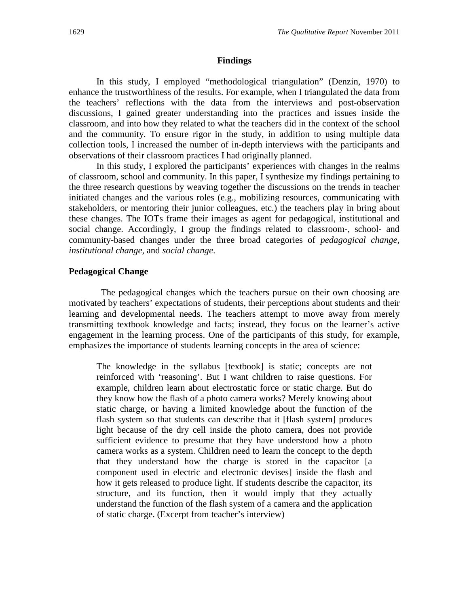#### **Findings**

In this study, I employed "methodological triangulation" (Denzin, 1970) to enhance the trustworthiness of the results. For example, when I triangulated the data from the teachers' reflections with the data from the interviews and post-observation discussions, I gained greater understanding into the practices and issues inside the classroom, and into how they related to what the teachers did in the context of the school and the community. To ensure rigor in the study, in addition to using multiple data collection tools, I increased the number of in-depth interviews with the participants and observations of their classroom practices I had originally planned.

In this study, I explored the participants' experiences with changes in the realms of classroom, school and community. In this paper, I synthesize my findings pertaining to the three research questions by weaving together the discussions on the trends in teacher initiated changes and the various roles (e.g., mobilizing resources, communicating with stakeholders, or mentoring their junior colleagues, etc.) the teachers play in bring about these changes. The IOTs frame their images as agent for pedagogical, institutional and social change. Accordingly, I group the findings related to classroom-, school- and community-based changes under the three broad categories of *pedagogical change, institutional change,* and *social change*.

#### **Pedagogical Change**

 The pedagogical changes which the teachers pursue on their own choosing are motivated by teachers' expectations of students, their perceptions about students and their learning and developmental needs. The teachers attempt to move away from merely transmitting textbook knowledge and facts; instead, they focus on the learner's active engagement in the learning process. One of the participants of this study, for example, emphasizes the importance of students learning concepts in the area of science:

The knowledge in the syllabus [textbook] is static; concepts are not reinforced with 'reasoning'. But I want children to raise questions. For example, children learn about electrostatic force or static charge. But do they know how the flash of a photo camera works? Merely knowing about static charge, or having a limited knowledge about the function of the flash system so that students can describe that it [flash system] produces light because of the dry cell inside the photo camera, does not provide sufficient evidence to presume that they have understood how a photo camera works as a system. Children need to learn the concept to the depth that they understand how the charge is stored in the capacitor [a component used in electric and electronic devises] inside the flash and how it gets released to produce light. If students describe the capacitor, its structure, and its function, then it would imply that they actually understand the function of the flash system of a camera and the application of static charge. (Excerpt from teacher's interview)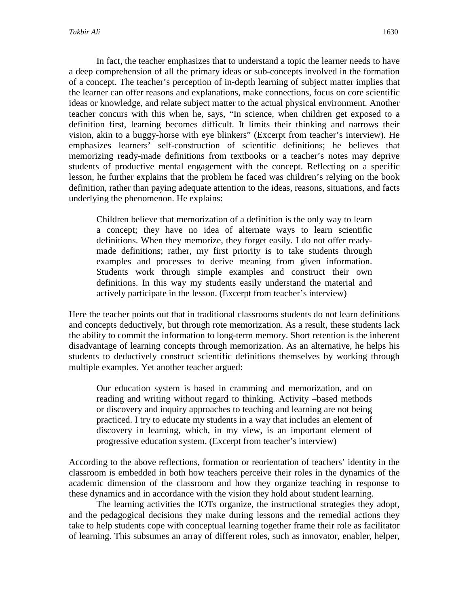In fact, the teacher emphasizes that to understand a topic the learner needs to have a deep comprehension of all the primary ideas or sub-concepts involved in the formation of a concept. The teacher's perception of in-depth learning of subject matter implies that the learner can offer reasons and explanations, make connections, focus on core scientific ideas or knowledge, and relate subject matter to the actual physical environment. Another teacher concurs with this when he, says, "In science, when children get exposed to a definition first, learning becomes difficult. It limits their thinking and narrows their vision, akin to a buggy-horse with eye blinkers" (Excerpt from teacher's interview). He emphasizes learners' self-construction of scientific definitions; he believes that memorizing ready-made definitions from textbooks or a teacher's notes may deprive students of productive mental engagement with the concept. Reflecting on a specific lesson, he further explains that the problem he faced was children's relying on the book definition, rather than paying adequate attention to the ideas, reasons, situations, and facts underlying the phenomenon. He explains:

Children believe that memorization of a definition is the only way to learn a concept; they have no idea of alternate ways to learn scientific definitions. When they memorize, they forget easily. I do not offer readymade definitions; rather, my first priority is to take students through examples and processes to derive meaning from given information. Students work through simple examples and construct their own definitions. In this way my students easily understand the material and actively participate in the lesson. (Excerpt from teacher's interview)

Here the teacher points out that in traditional classrooms students do not learn definitions and concepts deductively, but through rote memorization. As a result, these students lack the ability to commit the information to long-term memory. Short retention is the inherent disadvantage of learning concepts through memorization. As an alternative, he helps his students to deductively construct scientific definitions themselves by working through multiple examples. Yet another teacher argued:

Our education system is based in cramming and memorization, and on reading and writing without regard to thinking. Activity –based methods or discovery and inquiry approaches to teaching and learning are not being practiced. I try to educate my students in a way that includes an element of discovery in learning, which, in my view, is an important element of progressive education system. (Excerpt from teacher's interview)

According to the above reflections, formation or reorientation of teachers' identity in the classroom is embedded in both how teachers perceive their roles in the dynamics of the academic dimension of the classroom and how they organize teaching in response to these dynamics and in accordance with the vision they hold about student learning.

The learning activities the IOTs organize, the instructional strategies they adopt, and the pedagogical decisions they make during lessons and the remedial actions they take to help students cope with conceptual learning together frame their role as facilitator of learning. This subsumes an array of different roles, such as innovator, enabler, helper,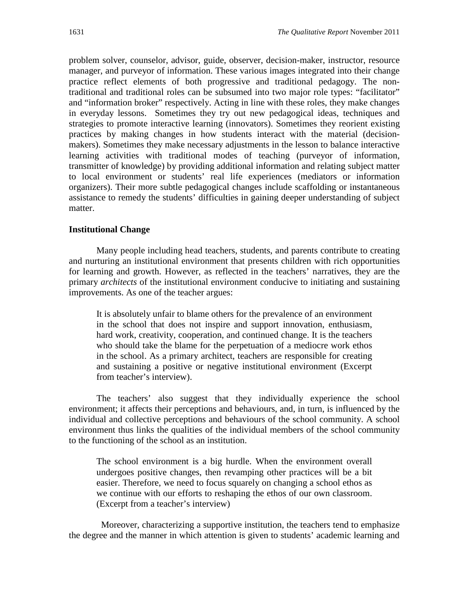problem solver, counselor, advisor, guide, observer, decision-maker, instructor, resource manager, and purveyor of information. These various images integrated into their change practice reflect elements of both progressive and traditional pedagogy. The nontraditional and traditional roles can be subsumed into two major role types: "facilitator" and "information broker" respectively. Acting in line with these roles, they make changes in everyday lessons. Sometimes they try out new pedagogical ideas, techniques and strategies to promote interactive learning (innovators). Sometimes they reorient existing practices by making changes in how students interact with the material (decisionmakers). Sometimes they make necessary adjustments in the lesson to balance interactive learning activities with traditional modes of teaching (purveyor of information, transmitter of knowledge) by providing additional information and relating subject matter to local environment or students' real life experiences (mediators or information organizers). Their more subtle pedagogical changes include scaffolding or instantaneous assistance to remedy the students' difficulties in gaining deeper understanding of subject matter.

# **Institutional Change**

Many people including head teachers, students, and parents contribute to creating and nurturing an institutional environment that presents children with rich opportunities for learning and growth. However, as reflected in the teachers' narratives, they are the primary *architects* of the institutional environment conducive to initiating and sustaining improvements. As one of the teacher argues:

It is absolutely unfair to blame others for the prevalence of an environment in the school that does not inspire and support innovation, enthusiasm, hard work, creativity, cooperation, and continued change. It is the teachers who should take the blame for the perpetuation of a mediocre work ethos in the school. As a primary architect, teachers are responsible for creating and sustaining a positive or negative institutional environment (Excerpt from teacher's interview).

The teachers' also suggest that they individually experience the school environment; it affects their perceptions and behaviours, and, in turn, is influenced by the individual and collective perceptions and behaviours of the school community. A school environment thus links the qualities of the individual members of the school community to the functioning of the school as an institution.

The school environment is a big hurdle. When the environment overall undergoes positive changes, then revamping other practices will be a bit easier. Therefore, we need to focus squarely on changing a school ethos as we continue with our efforts to reshaping the ethos of our own classroom. (Excerpt from a teacher's interview)

Moreover, characterizing a supportive institution, the teachers tend to emphasize the degree and the manner in which attention is given to students' academic learning and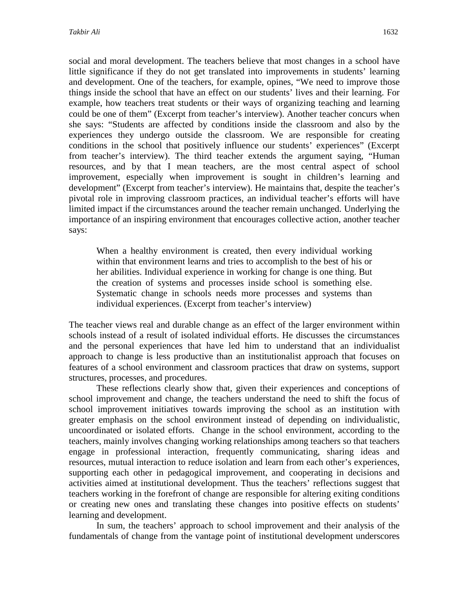social and moral development. The teachers believe that most changes in a school have little significance if they do not get translated into improvements in students' learning and development. One of the teachers, for example, opines, "We need to improve those things inside the school that have an effect on our students' lives and their learning. For example, how teachers treat students or their ways of organizing teaching and learning could be one of them" (Excerpt from teacher's interview). Another teacher concurs when she says: "Students are affected by conditions inside the classroom and also by the experiences they undergo outside the classroom. We are responsible for creating conditions in the school that positively influence our students' experiences" (Excerpt from teacher's interview). The third teacher extends the argument saying, "Human resources, and by that I mean teachers, are the most central aspect of school improvement, especially when improvement is sought in children's learning and development" (Excerpt from teacher's interview). He maintains that, despite the teacher's pivotal role in improving classroom practices, an individual teacher's efforts will have limited impact if the circumstances around the teacher remain unchanged. Underlying the importance of an inspiring environment that encourages collective action, another teacher says:

When a healthy environment is created, then every individual working within that environment learns and tries to accomplish to the best of his or her abilities. Individual experience in working for change is one thing. But the creation of systems and processes inside school is something else. Systematic change in schools needs more processes and systems than individual experiences. (Excerpt from teacher's interview)

The teacher views real and durable change as an effect of the larger environment within schools instead of a result of isolated individual efforts. He discusses the circumstances and the personal experiences that have led him to understand that an individualist approach to change is less productive than an institutionalist approach that focuses on features of a school environment and classroom practices that draw on systems, support structures, processes, and procedures.

These reflections clearly show that, given their experiences and conceptions of school improvement and change, the teachers understand the need to shift the focus of school improvement initiatives towards improving the school as an institution with greater emphasis on the school environment instead of depending on individualistic, uncoordinated or isolated efforts. Change in the school environment, according to the teachers, mainly involves changing working relationships among teachers so that teachers engage in professional interaction, frequently communicating, sharing ideas and resources, mutual interaction to reduce isolation and learn from each other's experiences, supporting each other in pedagogical improvement, and cooperating in decisions and activities aimed at institutional development. Thus the teachers' reflections suggest that teachers working in the forefront of change are responsible for altering exiting conditions or creating new ones and translating these changes into positive effects on students' learning and development.

In sum, the teachers' approach to school improvement and their analysis of the fundamentals of change from the vantage point of institutional development underscores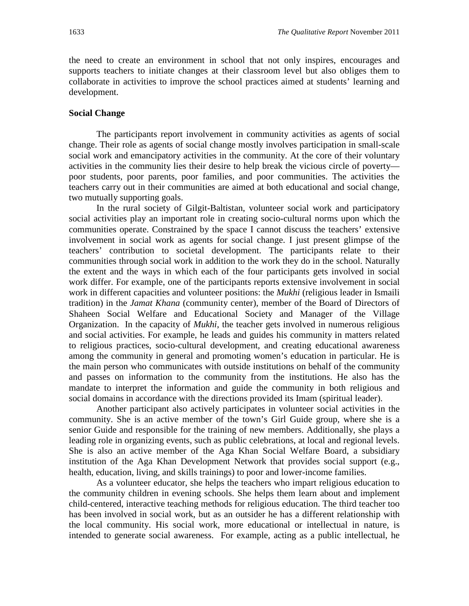the need to create an environment in school that not only inspires, encourages and supports teachers to initiate changes at their classroom level but also obliges them to collaborate in activities to improve the school practices aimed at students' learning and development.

# **Social Change**

The participants report involvement in community activities as agents of social change. Their role as agents of social change mostly involves participation in small-scale social work and emancipatory activities in the community. At the core of their voluntary activities in the community lies their desire to help break the vicious circle of poverty poor students, poor parents, poor families, and poor communities. The activities the teachers carry out in their communities are aimed at both educational and social change, two mutually supporting goals.

In the rural society of Gilgit-Baltistan, volunteer social work and participatory social activities play an important role in creating socio-cultural norms upon which the communities operate. Constrained by the space I cannot discuss the teachers' extensive involvement in social work as agents for social change. I just present glimpse of the teachers' contribution to societal development. The participants relate to their communities through social work in addition to the work they do in the school. Naturally the extent and the ways in which each of the four participants gets involved in social work differ. For example, one of the participants reports extensive involvement in social work in different capacities and volunteer positions: the *Mukhi* (religious leader in Ismaili tradition) in the *Jamat Khana* (community center), member of the Board of Directors of Shaheen Social Welfare and Educational Society and Manager of the Village Organization. In the capacity of *Mukhi*, the teacher gets involved in numerous religious and social activities. For example, he leads and guides his community in matters related to religious practices, socio-cultural development, and creating educational awareness among the community in general and promoting women's education in particular. He is the main person who communicates with outside institutions on behalf of the community and passes on information to the community from the institutions. He also has the mandate to interpret the information and guide the community in both religious and social domains in accordance with the directions provided its Imam (spiritual leader).

Another participant also actively participates in volunteer social activities in the community. She is an active member of the town's Girl Guide group, where she is a senior Guide and responsible for the training of new members. Additionally, she plays a leading role in organizing events, such as public celebrations, at local and regional levels. She is also an active member of the Aga Khan Social Welfare Board, a subsidiary institution of the Aga Khan Development Network that provides social support (e.g., health, education, living, and skills trainings) to poor and lower-income families.

As a volunteer educator, she helps the teachers who impart religious education to the community children in evening schools. She helps them learn about and implement child-centered, interactive teaching methods for religious education. The third teacher too has been involved in social work, but as an outsider he has a different relationship with the local community. His social work, more educational or intellectual in nature, is intended to generate social awareness. For example, acting as a public intellectual, he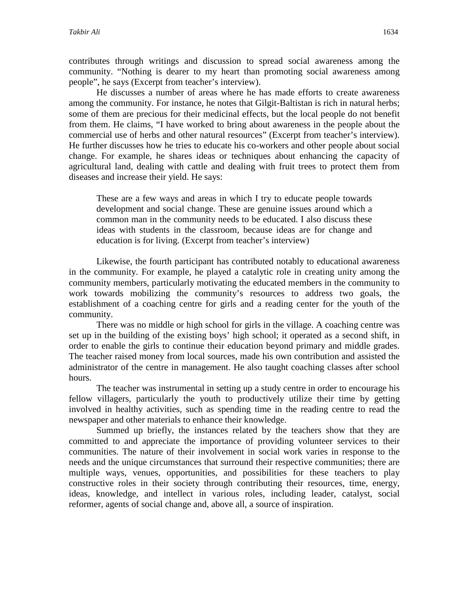contributes through writings and discussion to spread social awareness among the community. "Nothing is dearer to my heart than promoting social awareness among people", he says (Excerpt from teacher's interview).

He discusses a number of areas where he has made efforts to create awareness among the community. For instance, he notes that Gilgit-Baltistan is rich in natural herbs; some of them are precious for their medicinal effects, but the local people do not benefit from them. He claims, "I have worked to bring about awareness in the people about the commercial use of herbs and other natural resources" (Excerpt from teacher's interview). He further discusses how he tries to educate his co-workers and other people about social change. For example, he shares ideas or techniques about enhancing the capacity of agricultural land, dealing with cattle and dealing with fruit trees to protect them from diseases and increase their yield. He says:

These are a few ways and areas in which I try to educate people towards development and social change. These are genuine issues around which a common man in the community needs to be educated. I also discuss these ideas with students in the classroom, because ideas are for change and education is for living. (Excerpt from teacher's interview)

Likewise, the fourth participant has contributed notably to educational awareness in the community. For example, he played a catalytic role in creating unity among the community members, particularly motivating the educated members in the community to work towards mobilizing the community's resources to address two goals, the establishment of a coaching centre for girls and a reading center for the youth of the community.

There was no middle or high school for girls in the village. A coaching centre was set up in the building of the existing boys' high school; it operated as a second shift, in order to enable the girls to continue their education beyond primary and middle grades. The teacher raised money from local sources, made his own contribution and assisted the administrator of the centre in management. He also taught coaching classes after school hours.

The teacher was instrumental in setting up a study centre in order to encourage his fellow villagers, particularly the youth to productively utilize their time by getting involved in healthy activities, such as spending time in the reading centre to read the newspaper and other materials to enhance their knowledge.

Summed up briefly, the instances related by the teachers show that they are committed to and appreciate the importance of providing volunteer services to their communities. The nature of their involvement in social work varies in response to the needs and the unique circumstances that surround their respective communities; there are multiple ways, venues, opportunities, and possibilities for these teachers to play constructive roles in their society through contributing their resources, time, energy, ideas, knowledge, and intellect in various roles, including leader, catalyst, social reformer, agents of social change and, above all, a source of inspiration.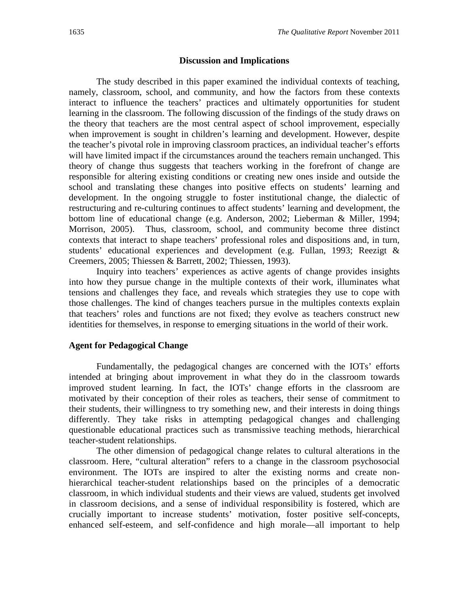## **Discussion and Implications**

The study described in this paper examined the individual contexts of teaching, namely, classroom, school, and community, and how the factors from these contexts interact to influence the teachers' practices and ultimately opportunities for student learning in the classroom. The following discussion of the findings of the study draws on the theory that teachers are the most central aspect of school improvement, especially when improvement is sought in children's learning and development. However, despite the teacher's pivotal role in improving classroom practices, an individual teacher's efforts will have limited impact if the circumstances around the teachers remain unchanged. This theory of change thus suggests that teachers working in the forefront of change are responsible for altering existing conditions or creating new ones inside and outside the school and translating these changes into positive effects on students' learning and development. In the ongoing struggle to foster institutional change, the dialectic of restructuring and re-culturing continues to affect students' learning and development, the bottom line of educational change (e.g. Anderson, 2002; Lieberman & Miller, 1994; Morrison, 2005). Thus, classroom, school, and community become three distinct contexts that interact to shape teachers' professional roles and dispositions and, in turn, students' educational experiences and development (e.g. Fullan, 1993; Reezigt & Creemers, 2005; Thiessen & Barrett, 2002; Thiessen, 1993).

Inquiry into teachers' experiences as active agents of change provides insights into how they pursue change in the multiple contexts of their work, illuminates what tensions and challenges they face, and reveals which strategies they use to cope with those challenges. The kind of changes teachers pursue in the multiples contexts explain that teachers' roles and functions are not fixed; they evolve as teachers construct new identities for themselves, in response to emerging situations in the world of their work.

# **Agent for Pedagogical Change**

Fundamentally, the pedagogical changes are concerned with the IOTs' efforts intended at bringing about improvement in what they do in the classroom towards improved student learning. In fact, the IOTs' change efforts in the classroom are motivated by their conception of their roles as teachers, their sense of commitment to their students, their willingness to try something new, and their interests in doing things differently. They take risks in attempting pedagogical changes and challenging questionable educational practices such as transmissive teaching methods, hierarchical teacher-student relationships.

The other dimension of pedagogical change relates to cultural alterations in the classroom. Here, "cultural alteration" refers to a change in the classroom psychosocial environment. The IOTs are inspired to alter the existing norms and create nonhierarchical teacher-student relationships based on the principles of a democratic classroom, in which individual students and their views are valued, students get involved in classroom decisions, and a sense of individual responsibility is fostered, which are crucially important to increase students' motivation, foster positive self-concepts, enhanced self-esteem, and self-confidence and high morale—all important to help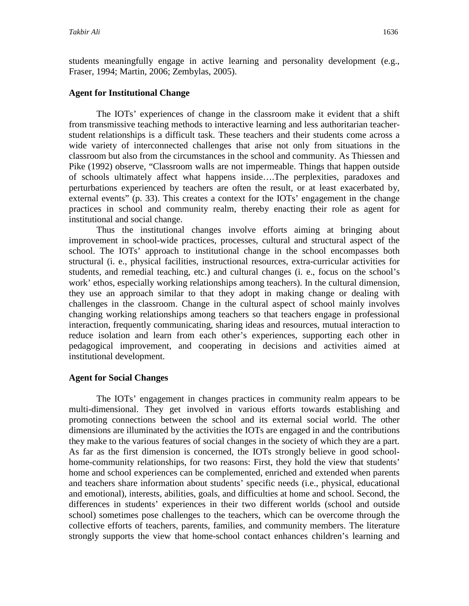students meaningfully engage in active learning and personality development (e.g., Fraser, 1994; Martin, 2006; Zembylas, 2005).

# **Agent for Institutional Change**

The IOTs' experiences of change in the classroom make it evident that a shift from transmissive teaching methods to interactive learning and less authoritarian teacherstudent relationships is a difficult task. These teachers and their students come across a wide variety of interconnected challenges that arise not only from situations in the classroom but also from the circumstances in the school and community. As Thiessen and Pike (1992) observe, "Classroom walls are not impermeable. Things that happen outside of schools ultimately affect what happens inside….The perplexities, paradoxes and perturbations experienced by teachers are often the result, or at least exacerbated by, external events" (p. 33). This creates a context for the IOTs' engagement in the change practices in school and community realm, thereby enacting their role as agent for institutional and social change.

Thus the institutional changes involve efforts aiming at bringing about improvement in school-wide practices, processes, cultural and structural aspect of the school. The IOTs' approach to institutional change in the school encompasses both structural (i. e., physical facilities, instructional resources, extra-curricular activities for students, and remedial teaching, etc.) and cultural changes (i. e., focus on the school's work' ethos, especially working relationships among teachers). In the cultural dimension, they use an approach similar to that they adopt in making change or dealing with challenges in the classroom. Change in the cultural aspect of school mainly involves changing working relationships among teachers so that teachers engage in professional interaction, frequently communicating, sharing ideas and resources, mutual interaction to reduce isolation and learn from each other's experiences, supporting each other in pedagogical improvement, and cooperating in decisions and activities aimed at institutional development.

# **Agent for Social Changes**

The IOTs' engagement in changes practices in community realm appears to be multi-dimensional. They get involved in various efforts towards establishing and promoting connections between the school and its external social world. The other dimensions are illuminated by the activities the IOTs are engaged in and the contributions they make to the various features of social changes in the society of which they are a part. As far as the first dimension is concerned, the IOTs strongly believe in good schoolhome-community relationships, for two reasons: First, they hold the view that students' home and school experiences can be complemented, enriched and extended when parents and teachers share information about students' specific needs (i.e., physical, educational and emotional), interests, abilities, goals, and difficulties at home and school. Second, the differences in students' experiences in their two different worlds (school and outside school) sometimes pose challenges to the teachers, which can be overcome through the collective efforts of teachers, parents, families, and community members. The literature strongly supports the view that home-school contact enhances children's learning and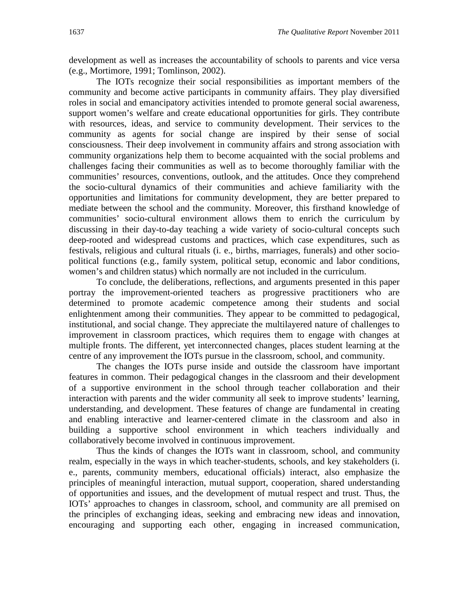development as well as increases the accountability of schools to parents and vice versa (e.g., Mortimore, 1991; Tomlinson, 2002).

The IOTs recognize their social responsibilities as important members of the community and become active participants in community affairs. They play diversified roles in social and emancipatory activities intended to promote general social awareness, support women's welfare and create educational opportunities for girls. They contribute with resources, ideas, and service to community development. Their services to the community as agents for social change are inspired by their sense of social consciousness. Their deep involvement in community affairs and strong association with community organizations help them to become acquainted with the social problems and challenges facing their communities as well as to become thoroughly familiar with the communities' resources, conventions, outlook, and the attitudes. Once they comprehend the socio-cultural dynamics of their communities and achieve familiarity with the opportunities and limitations for community development, they are better prepared to mediate between the school and the community. Moreover, this firsthand knowledge of communities' socio-cultural environment allows them to enrich the curriculum by discussing in their day-to-day teaching a wide variety of socio-cultural concepts such deep-rooted and widespread customs and practices, which case expenditures, such as festivals, religious and cultural rituals (i. e., births, marriages, funerals) and other sociopolitical functions (e.g., family system, political setup, economic and labor conditions, women's and children status) which normally are not included in the curriculum.

To conclude, the deliberations, reflections, and arguments presented in this paper portray the improvement-oriented teachers as progressive practitioners who are determined to promote academic competence among their students and social enlightenment among their communities. They appear to be committed to pedagogical, institutional, and social change. They appreciate the multilayered nature of challenges to improvement in classroom practices, which requires them to engage with changes at multiple fronts. The different, yet interconnected changes, places student learning at the centre of any improvement the IOTs pursue in the classroom, school, and community.

The changes the IOTs purse inside and outside the classroom have important features in common. Their pedagogical changes in the classroom and their development of a supportive environment in the school through teacher collaboration and their interaction with parents and the wider community all seek to improve students' learning, understanding, and development. These features of change are fundamental in creating and enabling interactive and learner-centered climate in the classroom and also in building a supportive school environment in which teachers individually and collaboratively become involved in continuous improvement.

Thus the kinds of changes the IOTs want in classroom, school, and community realm, especially in the ways in which teacher-students, schools, and key stakeholders (i. e., parents, community members, educational officials) interact, also emphasize the principles of meaningful interaction, mutual support, cooperation, shared understanding of opportunities and issues, and the development of mutual respect and trust. Thus, the IOTs' approaches to changes in classroom, school, and community are all premised on the principles of exchanging ideas, seeking and embracing new ideas and innovation, encouraging and supporting each other, engaging in increased communication,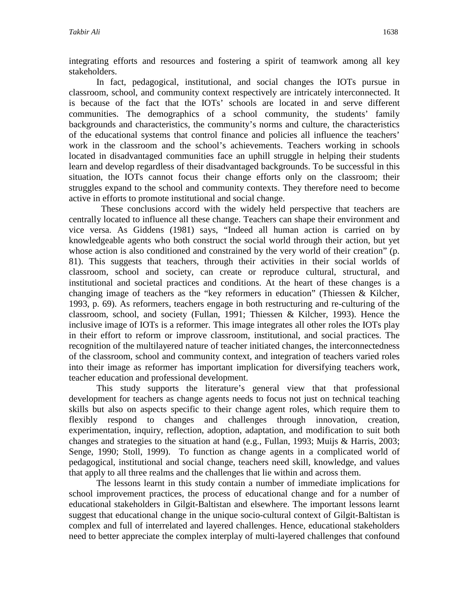integrating efforts and resources and fostering a spirit of teamwork among all key stakeholders.

In fact, pedagogical, institutional, and social changes the IOTs pursue in classroom, school, and community context respectively are intricately interconnected. It is because of the fact that the IOTs' schools are located in and serve different communities. The demographics of a school community, the students' family backgrounds and characteristics, the community's norms and culture, the characteristics of the educational systems that control finance and policies all influence the teachers' work in the classroom and the school's achievements. Teachers working in schools located in disadvantaged communities face an uphill struggle in helping their students learn and develop regardless of their disadvantaged backgrounds. To be successful in this situation, the IOTs cannot focus their change efforts only on the classroom; their struggles expand to the school and community contexts. They therefore need to become active in efforts to promote institutional and social change.

 These conclusions accord with the widely held perspective that teachers are centrally located to influence all these change. Teachers can shape their environment and vice versa. As Giddens (1981) says, "Indeed all human action is carried on by knowledgeable agents who both construct the social world through their action, but yet whose action is also conditioned and constrained by the very world of their creation" (p. 81). This suggests that teachers, through their activities in their social worlds of classroom, school and society, can create or reproduce cultural, structural, and institutional and societal practices and conditions. At the heart of these changes is a changing image of teachers as the "key reformers in education" (Thiessen & Kilcher, 1993, p. 69). As reformers, teachers engage in both restructuring and re-culturing of the classroom, school, and society (Fullan, 1991; Thiessen & Kilcher, 1993). Hence the inclusive image of IOTs is a reformer. This image integrates all other roles the IOTs play in their effort to reform or improve classroom, institutional, and social practices. The recognition of the multilayered nature of teacher initiated changes, the interconnectedness of the classroom, school and community context, and integration of teachers varied roles into their image as reformer has important implication for diversifying teachers work, teacher education and professional development.

This study supports the literature's general view that that professional development for teachers as change agents needs to focus not just on technical teaching skills but also on aspects specific to their change agent roles, which require them to flexibly respond to changes and challenges through innovation, creation, experimentation, inquiry, reflection, adoption, adaptation, and modification to suit both changes and strategies to the situation at hand (e.g., Fullan, 1993; Muijs & Harris, 2003; Senge, 1990; Stoll, 1999). To function as change agents in a complicated world of pedagogical, institutional and social change, teachers need skill, knowledge, and values that apply to all three realms and the challenges that lie within and across them.

The lessons learnt in this study contain a number of immediate implications for school improvement practices, the process of educational change and for a number of educational stakeholders in Gilgit-Baltistan and elsewhere. The important lessons learnt suggest that educational change in the unique socio-cultural context of Gilgit-Baltistan is complex and full of interrelated and layered challenges. Hence, educational stakeholders need to better appreciate the complex interplay of multi-layered challenges that confound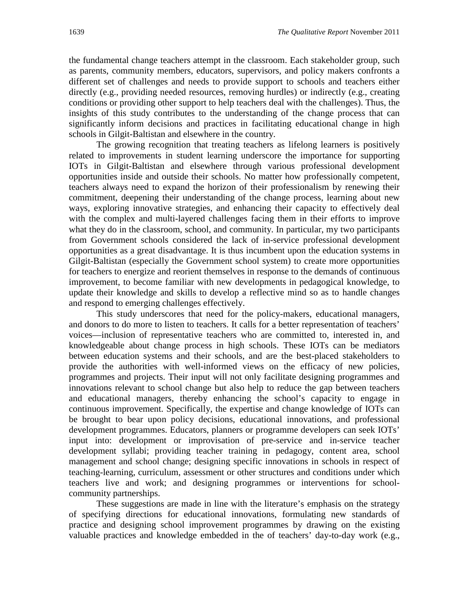the fundamental change teachers attempt in the classroom. Each stakeholder group, such as parents, community members, educators, supervisors, and policy makers confronts a different set of challenges and needs to provide support to schools and teachers either directly (e.g., providing needed resources, removing hurdles) or indirectly (e.g., creating conditions or providing other support to help teachers deal with the challenges). Thus, the insights of this study contributes to the understanding of the change process that can significantly inform decisions and practices in facilitating educational change in high schools in Gilgit-Baltistan and elsewhere in the country.

The growing recognition that treating teachers as lifelong learners is positively related to improvements in student learning underscore the importance for supporting IOTs in Gilgit-Baltistan and elsewhere through various professional development opportunities inside and outside their schools. No matter how professionally competent, teachers always need to expand the horizon of their professionalism by renewing their commitment, deepening their understanding of the change process, learning about new ways, exploring innovative strategies, and enhancing their capacity to effectively deal with the complex and multi-layered challenges facing them in their efforts to improve what they do in the classroom, school, and community. In particular, my two participants from Government schools considered the lack of in-service professional development opportunities as a great disadvantage. It is thus incumbent upon the education systems in Gilgit-Baltistan (especially the Government school system) to create more opportunities for teachers to energize and reorient themselves in response to the demands of continuous improvement, to become familiar with new developments in pedagogical knowledge, to update their knowledge and skills to develop a reflective mind so as to handle changes and respond to emerging challenges effectively.

This study underscores that need for the policy-makers, educational managers, and donors to do more to listen to teachers. It calls for a better representation of teachers' voices—inclusion of representative teachers who are committed to, interested in, and knowledgeable about change process in high schools. These IOTs can be mediators between education systems and their schools, and are the best-placed stakeholders to provide the authorities with well-informed views on the efficacy of new policies, programmes and projects. Their input will not only facilitate designing programmes and innovations relevant to school change but also help to reduce the gap between teachers and educational managers, thereby enhancing the school's capacity to engage in continuous improvement. Specifically, the expertise and change knowledge of IOTs can be brought to bear upon policy decisions, educational innovations, and professional development programmes. Educators, planners or programme developers can seek IOTs' input into: development or improvisation of pre-service and in-service teacher development syllabi; providing teacher training in pedagogy, content area, school management and school change; designing specific innovations in schools in respect of teaching-learning, curriculum, assessment or other structures and conditions under which teachers live and work; and designing programmes or interventions for schoolcommunity partnerships.

These suggestions are made in line with the literature's emphasis on the strategy of specifying directions for educational innovations, formulating new standards of practice and designing school improvement programmes by drawing on the existing valuable practices and knowledge embedded in the of teachers' day-to-day work (e.g.,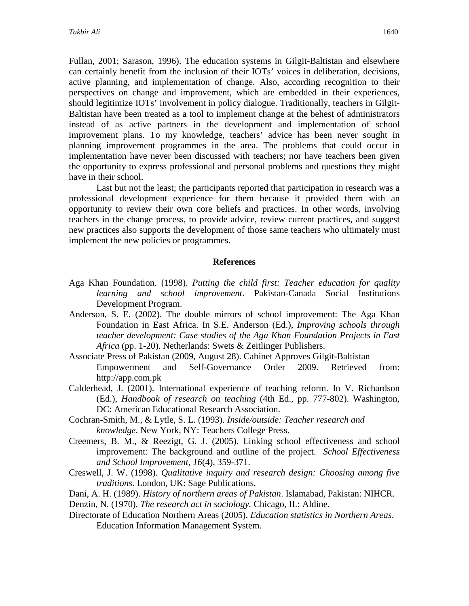Fullan, 2001; Sarason, 1996). The education systems in Gilgit-Baltistan and elsewhere can certainly benefit from the inclusion of their IOTs' voices in deliberation, decisions, active planning, and implementation of change. Also, according recognition to their perspectives on change and improvement, which are embedded in their experiences, should legitimize IOTs' involvement in policy dialogue. Traditionally, teachers in Gilgit-Baltistan have been treated as a tool to implement change at the behest of administrators instead of as active partners in the development and implementation of school improvement plans. To my knowledge, teachers' advice has been never sought in planning improvement programmes in the area. The problems that could occur in implementation have never been discussed with teachers; nor have teachers been given the opportunity to express professional and personal problems and questions they might have in their school.

Last but not the least; the participants reported that participation in research was a professional development experience for them because it provided them with an opportunity to review their own core beliefs and practices. In other words, involving teachers in the change process, to provide advice, review current practices, and suggest new practices also supports the development of those same teachers who ultimately must implement the new policies or programmes.

#### **References**

- Aga Khan Foundation. (1998). *Putting the child first: Teacher education for quality learning and school improvement*. Pakistan-Canada Social Institutions Development Program.
- Anderson, S. E. (2002). The double mirrors of school improvement: The Aga Khan Foundation in East Africa. In S.E. Anderson (Ed.), *Improving schools through teacher development: Case studies of the Aga Khan Foundation Projects in East Africa* (pp. 1-20). Netherlands: Swets & Zeitlinger Publishers.
- Associate Press of Pakistan (2009, August 28). Cabinet Approves Gilgit-Baltistan Empowerment and Self-Governance Order 2009. Retrieved from: http://app.com.pk
- Calderhead, J. (2001). International experience of teaching reform. In V. Richardson (Ed.), *Handbook of research on teaching* (4th Ed., pp. 777-802). Washington, DC: American Educational Research Association.
- Cochran-Smith, M., & Lytle, S. L. (1993). *Inside/outside: Teacher research and knowledge*. New York, NY: Teachers College Press.
- Creemers, B. M., & Reezigt, G. J. (2005). Linking school effectiveness and school improvement: The background and outline of the project. *School Effectiveness and School Improvement*, *16*(4), 359-371.
- Creswell, J. W. (1998). *Qualitative inquiry and research design: Choosing among five traditions*. London, UK: Sage Publications.
- Dani, A. H. (1989). *History of northern areas of Pakistan*. Islamabad, Pakistan: NIHCR.

Denzin, N. (1970). *The research act in sociology.* Chicago, IL: Aldine.

Directorate of Education Northern Areas (2005). *Education statistics in Northern Areas*. Education Information Management System.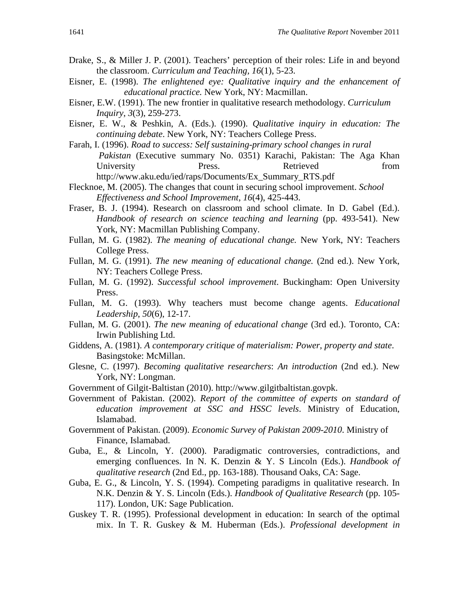- Drake, S., & Miller J. P. (2001). Teachers' perception of their roles: Life in and beyond the classroom. *Curriculum and Teaching, 16*(1), 5-23.
- Eisner, E. (1998). *The enlightened eye: Qualitative inquiry and the enhancement of educational practice.* New York, NY: Macmillan.
- Eisner, E.W. (1991). The new frontier in qualitative research methodology. *Curriculum Inquiry*, *3*(3), 259-273.
- Eisner, E. W., & Peshkin, A. (Eds.). (1990). *Qualitative inquiry in education: The continuing debate*. New York, NY: Teachers College Press.
- Farah, I. (1996). *Road to success: Self sustaining-primary school changes in rural Pakistan* (Executive summary No. 0351) Karachi, Pakistan: The Aga Khan University Press. Retrieved from http://www.aku.edu/ied/raps/Documents/Ex\_Summary\_RTS.pdf
- Flecknoe, M. (2005). The changes that count in securing school improvement. *School Effectiveness and School Improvement*, *16*(4), 425-443.
- Fraser, B. J. (1994). Research on classroom and school climate. In D. Gabel (Ed.). *Handbook of research on science teaching and learning* (pp. 493-541). New York, NY: Macmillan Publishing Company.
- Fullan, M. G. (1982). *The meaning of educational change.* New York, NY: Teachers College Press.
- Fullan, M. G. (1991). *The new meaning of educational change.* (2nd ed.). New York, NY: Teachers College Press.
- Fullan, M. G. (1992). *Successful school improvement*. Buckingham: Open University Press.
- Fullan, M. G. (1993). Why teachers must become change agents. *Educational Leadership*, *50*(6), 12-17.
- Fullan, M. G. (2001). *The new meaning of educational change* (3rd ed.). Toronto, CA: Irwin Publishing Ltd.
- Giddens, A. (1981). *A contemporary critique of materialism: Power, property and state*. Basingstoke: McMillan.
- Glesne, C. (1997). *Becoming qualitative researchers*: *An introduction* (2nd ed.). New York, NY: Longman.
- Government of Gilgit-Baltistan (2010). http://www.gilgitbaltistan.govpk.
- Government of Pakistan. (2002). *Report of the committee of experts on standard of education improvement at SSC and HSSC levels*. Ministry of Education, Islamabad.
- Government of Pakistan. (2009). *Economic Survey of Pakistan 2009-2010*. Ministry of Finance, Islamabad.
- Guba, E., & Lincoln, Y. (2000). Paradigmatic controversies, contradictions, and emerging confluences. In N. K. Denzin & Y. S Lincoln (Eds.). *Handbook of qualitative research* (2nd Ed., pp. 163-188). Thousand Oaks, CA: Sage.
- Guba, E. G., & Lincoln, Y. S. (1994). Competing paradigms in qualitative research. In N.K. Denzin & Y. S. Lincoln (Eds.). *Handbook of Qualitative Research* (pp. 105- 117). London, UK: Sage Publication.
- Guskey T. R. (1995). Professional development in education: In search of the optimal mix. In T. R. Guskey & M. Huberman (Eds.). *Professional development in*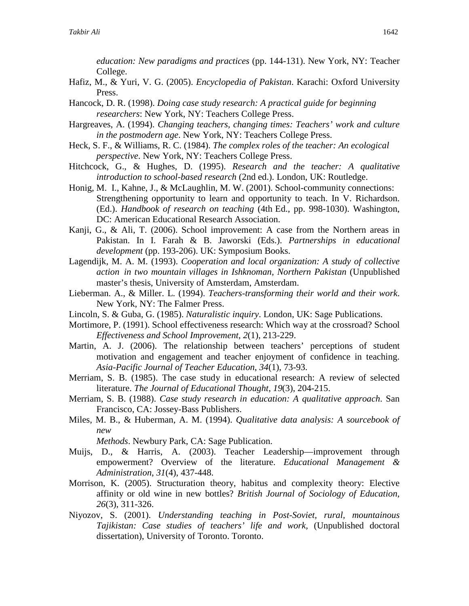*education: New paradigms and practices* (pp. 144-131). New York, NY: Teacher College.

- Hafiz, M., & Yuri, V. G. (2005). *Encyclopedia of Pakistan*. Karachi: Oxford University Press.
- Hancock, D. R. (1998). *Doing case study research: A practical guide for beginning researchers*: New York, NY: Teachers College Press.
- Hargreaves, A. (1994). *Changing teachers, changing times: Teachers' work and culture in the postmodern age*. New York, NY: Teachers College Press.
- Heck, S. F., & Williams, R. C. (1984). *The complex roles of the teacher: An ecological perspective*. New York, NY: Teachers College Press.
- Hitchcock, G., & Hughes, D. (1995). *Research and the teacher: A qualitative introduction to school-based research* (2nd ed.). London, UK: Routledge.
- Honig, M. I., Kahne, J., & McLaughlin, M. W. (2001). School-community connections: Strengthening opportunity to learn and opportunity to teach. In V. Richardson. (Ed.). *Handbook of research on teaching* (4th Ed., pp. 998-1030). Washington, DC: American Educational Research Association.
- Kanji, G., & Ali, T. (2006). School improvement: A case from the Northern areas in Pakistan. In I. Farah & B. Jaworski (Eds.). *Partnerships in educational development* (pp. 193-206). UK: Symposium Books.
- Lagendijk, M. A. M. (1993). *Cooperation and local organization: A study of collective action in two mountain villages in Ishknoman, Northern Pakistan* (Unpublished master's thesis, University of Amsterdam, Amsterdam.
- Lieberman. A., & Miller. L. (1994). *Teachers-transforming their world and their work*. New York, NY: The Falmer Press.
- Lincoln, S. & Guba, G. (1985). *Naturalistic inquiry*. London, UK: Sage Publications.
- Mortimore, P. (1991). School effectiveness research: Which way at the crossroad? School *Effectiveness and School Improvement*, *2*(1), 213-229.
- Martin, A. J. (2006). The relationship between teachers' perceptions of student motivation and engagement and teacher enjoyment of confidence in teaching. *Asia-Pacific Journal of Teacher Education*, *34*(1), 73-93.
- Merriam, S. B. (1985). The case study in educational research: A review of selected literature. *The Journal of Educational Thought*, *19*(3), 204-215.
- Merriam, S. B. (1988). *Case study research in education: A qualitative approach*. San Francisco, CA: Jossey-Bass Publishers.
- Miles, M. B., & Huberman, A. M. (1994). *Qualitative data analysis: A sourcebook of new*

*Methods*. Newbury Park, CA: Sage Publication.

- Muijs, D., & Harris, A. (2003). Teacher Leadership—improvement through empowerment? Overview of the literature. *Educational Management & Administration*, *31*(4), 437-448.
- Morrison, K. (2005). Structuration theory, habitus and complexity theory: Elective affinity or old wine in new bottles? *British Journal of Sociology of Education, 26*(3), 311-326.
- Niyozov, S. (2001). *Understanding teaching in Post-Soviet, rural, mountainous Tajikistan: Case studies of teachers' life and work,* (Unpublished doctoral dissertation), University of Toronto. Toronto.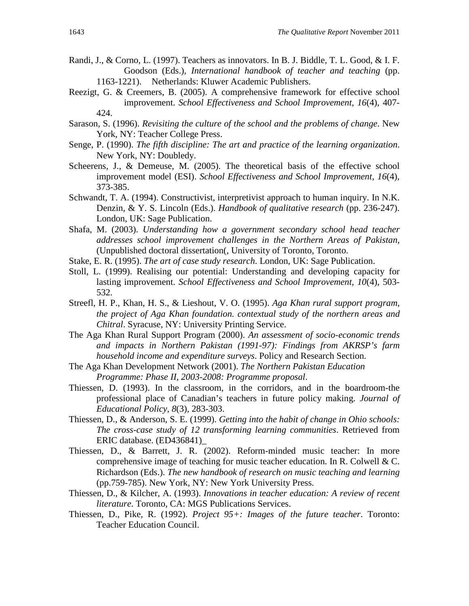- Randi, J., & Corno, L. (1997). Teachers as innovators. In B. J. Biddle, T. L. Good, & I. F. Goodson (Eds.), *International handbook of teacher and teaching* (pp. 1163-1221). Netherlands: Kluwer Academic Publishers.
- Reezigt, G. & Creemers, B. (2005). A comprehensive framework for effective school improvement. *School Effectiveness and School Improvement*, *16*(4), 407- 424.
- Sarason, S. (1996). *Revisiting the culture of the school and the problems of change*. New York, NY: Teacher College Press.
- Senge, P. (1990). *The fifth discipline: The art and practice of the learning organization*. New York, NY: Doubledy.
- Scheerens, J., & Demeuse, M. (2005). The theoretical basis of the effective school improvement model (ESI). *School Effectiveness and School Improvement*, *16*(4), 373-385.
- Schwandt, T. A. (1994). Constructivist, interpretivist approach to human inquiry. In N.K. Denzin, & Y. S. Lincoln (Eds.). *Handbook of qualitative research* (pp. 236-247). London, UK: Sage Publication.
- Shafa, M. (2003). *Understanding how a government secondary school head teacher addresses school improvement challenges in the Northern Areas of Pakistan,*  (Unpublished doctoral dissertation(, University of Toronto, Toronto.
- Stake, E. R. (1995). *The art of case study research*. London, UK: Sage Publication.
- Stoll, L. (1999). Realising our potential: Understanding and developing capacity for lasting improvement. *School Effectiveness and School Improvement*, *10*(4), 503- 532.
- Streefl, H. P., Khan, H. S., & Lieshout, V. O. (1995). *Aga Khan rural support program, the project of Aga Khan foundation. contextual study of the northern areas and Chitral*. Syracuse, NY: University Printing Service.
- The Aga Khan Rural Support Program (2000). *An assessment of socio-economic trends and impacts in Northern Pakistan (1991-97): Findings from AKRSP's farm household income and expenditure surveys*. Policy and Research Section.
- The Aga Khan Development Network (2001). *The Northern Pakistan Education Programme: Phase II, 2003-2008: Programme proposal*.
- Thiessen, D. (1993). In the classroom, in the corridors, and in the boardroom-the professional place of Canadian's teachers in future policy making. *Journal of Educational Policy*, *8*(3), 283-303.
- Thiessen, D., & Anderson, S. E. (1999). *Getting into the habit of change in Ohio schools: The cross-case study of 12 transforming learning communities*. Retrieved from ERIC database. (ED436841)\_
- Thiessen, D., & Barrett, J. R. (2002). Reform-minded music teacher: In more comprehensive image of teaching for music teacher education. In R. Colwell & C. Richardson (Eds.). *The new handbook of research on music teaching and learning*  (pp.759-785). New York, NY: New York University Press.
- Thiessen, D., & Kilcher, A. (1993). *Innovations in teacher education: A review of recent literature*. Toronto, CA: MGS Publications Services.
- Thiessen, D., Pike, R. (1992). *Project 95+: Images of the future teacher*. Toronto: Teacher Education Council.